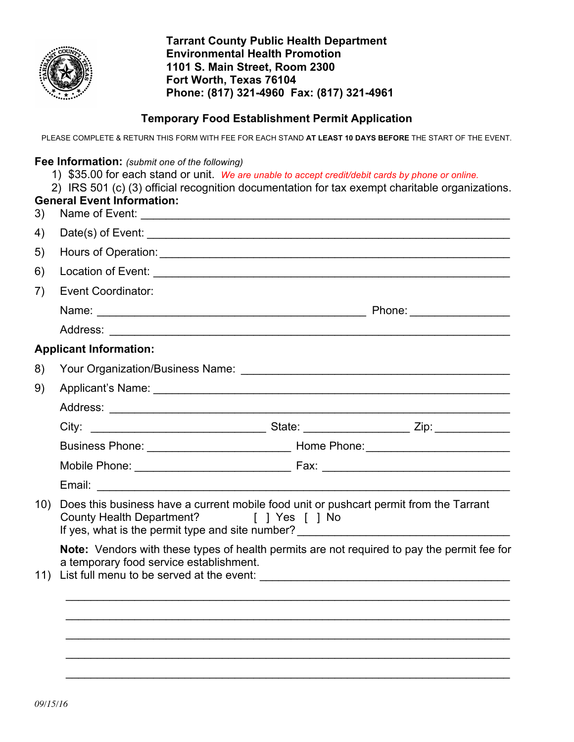

**Tarrant County Public Health Department Environmental Health Promotion 1101 S. Main Street, Room 2300 Fort Worth, Texas 76104 Phone: (817) 321-4960 Fax: (817) 321-4961**

#### **Temporary Food Establishment Permit Application**

PLEASE COMPLETE & RETURN THIS FORM WITH FEE FOR EACH STAND **AT LEAST 10 DAYS BEFORE** THE START OF THE EVENT.

#### **Fee Information:** *(submit one of the following)*

- 1) \$35.00 for each stand or unit. *We are unable to accept credit/debit cards by phone or online.*
- 2) IRS 501 (c) (3) official recognition documentation for tax exempt charitable organizations.

| 3)  | <b>General Event Information:</b>                                                                                                                                                                                      |
|-----|------------------------------------------------------------------------------------------------------------------------------------------------------------------------------------------------------------------------|
| 4)  |                                                                                                                                                                                                                        |
| 5)  |                                                                                                                                                                                                                        |
| 6)  |                                                                                                                                                                                                                        |
| 7)  | <b>Event Coordinator:</b>                                                                                                                                                                                              |
|     |                                                                                                                                                                                                                        |
|     |                                                                                                                                                                                                                        |
|     | <b>Applicant Information:</b>                                                                                                                                                                                          |
| 8)  |                                                                                                                                                                                                                        |
| 9)  |                                                                                                                                                                                                                        |
|     |                                                                                                                                                                                                                        |
|     |                                                                                                                                                                                                                        |
|     |                                                                                                                                                                                                                        |
|     |                                                                                                                                                                                                                        |
|     |                                                                                                                                                                                                                        |
| 10) | Does this business have a current mobile food unit or pushcart permit from the Tarrant<br>County Health Department? [ ] Yes [ ] No<br>If yes, what is the permit type and site number? _______________________________ |
| 11) | Note: Vendors with these types of health permits are not required to pay the permit fee for<br>a temporary food service establishment.                                                                                 |
|     |                                                                                                                                                                                                                        |
|     |                                                                                                                                                                                                                        |
|     |                                                                                                                                                                                                                        |
|     |                                                                                                                                                                                                                        |

\_\_\_\_\_\_\_\_\_\_\_\_\_\_\_\_\_\_\_\_\_\_\_\_\_\_\_\_\_\_\_\_\_\_\_\_\_\_\_\_\_\_\_\_\_\_\_\_\_\_\_\_\_\_\_\_\_\_\_\_\_\_\_\_\_\_\_\_\_\_\_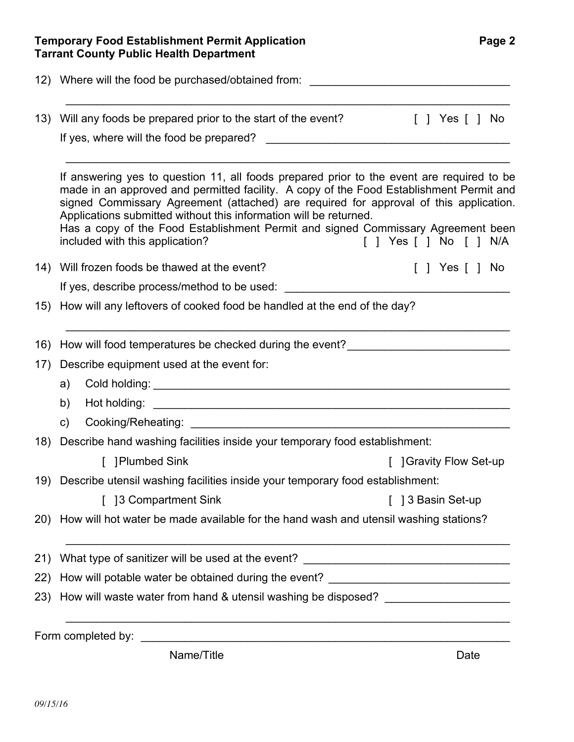|     | 12) Where will the food be purchased/obtained from:                                                                                                                                                                                                                                                                                                                                                                                    |  |  |  |                |
|-----|----------------------------------------------------------------------------------------------------------------------------------------------------------------------------------------------------------------------------------------------------------------------------------------------------------------------------------------------------------------------------------------------------------------------------------------|--|--|--|----------------|
| 13) | Will any foods be prepared prior to the start of the event?                                                                                                                                                                                                                                                                                                                                                                            |  |  |  | [ ] Yes [ ] No |
|     | If yes, where will the food be prepared?                                                                                                                                                                                                                                                                                                                                                                                               |  |  |  |                |
|     | If answering yes to question 11, all foods prepared prior to the event are required to be<br>made in an approved and permitted facility. A copy of the Food Establishment Permit and<br>signed Commissary Agreement (attached) are required for approval of this application.<br>Applications submitted without this information will be returned.<br>Has a copy of the Food Establishment Permit and signed Commissary Agreement been |  |  |  |                |
|     | included with this application?<br>[ ] Yes [ ] No [ ] N/A                                                                                                                                                                                                                                                                                                                                                                              |  |  |  |                |
| 14) | Will frozen foods be thawed at the event?                                                                                                                                                                                                                                                                                                                                                                                              |  |  |  | [ ] Yes [ ] No |
|     |                                                                                                                                                                                                                                                                                                                                                                                                                                        |  |  |  |                |
| 15) | How will any leftovers of cooked food be handled at the end of the day?                                                                                                                                                                                                                                                                                                                                                                |  |  |  |                |
|     | 16) How will food temperatures be checked during the event?                                                                                                                                                                                                                                                                                                                                                                            |  |  |  |                |
| 17) | Describe equipment used at the event for:                                                                                                                                                                                                                                                                                                                                                                                              |  |  |  |                |
|     | a)                                                                                                                                                                                                                                                                                                                                                                                                                                     |  |  |  |                |
|     | b)                                                                                                                                                                                                                                                                                                                                                                                                                                     |  |  |  |                |
|     | C)                                                                                                                                                                                                                                                                                                                                                                                                                                     |  |  |  |                |
| 18) | Describe hand washing facilities inside your temporary food establishment:                                                                                                                                                                                                                                                                                                                                                             |  |  |  |                |
|     | [ ] Plumbed Sink<br>[ ] Gravity Flow Set-up                                                                                                                                                                                                                                                                                                                                                                                            |  |  |  |                |
|     | 19) Describe utensil washing facilities inside your temporary food establishment:                                                                                                                                                                                                                                                                                                                                                      |  |  |  |                |
|     | [ 13 Compartment Sink<br>[ 13 Basin Set-up                                                                                                                                                                                                                                                                                                                                                                                             |  |  |  |                |
|     | 20) How will hot water be made available for the hand wash and utensil washing stations?                                                                                                                                                                                                                                                                                                                                               |  |  |  |                |
|     | What type of sanitizer will be used at the event? ______________________________                                                                                                                                                                                                                                                                                                                                                       |  |  |  |                |
| 21) | How will potable water be obtained during the event? ___________________________                                                                                                                                                                                                                                                                                                                                                       |  |  |  |                |
| 22) |                                                                                                                                                                                                                                                                                                                                                                                                                                        |  |  |  |                |

Name/Title **Date**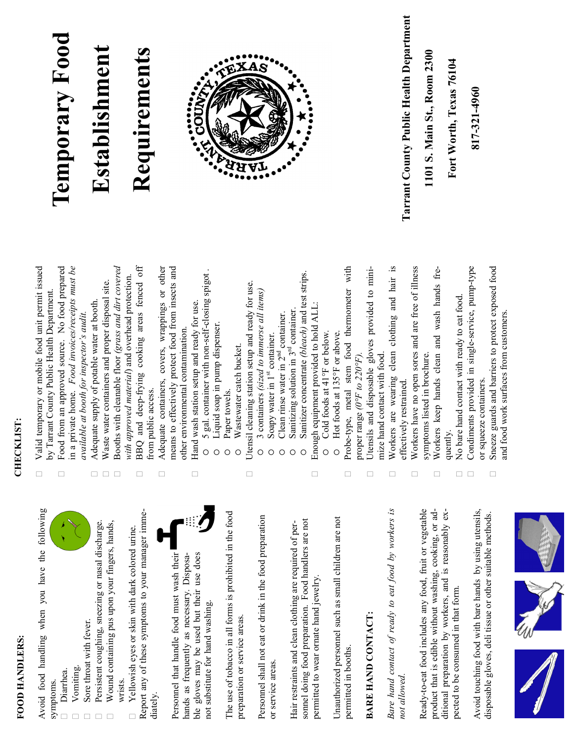#### FOOD HANDLERS: **FOOD HANDLERS:**

Avoid food handling when you have the following Avoid food handling when you have the following symptoms.

- Diarrhea. Diarrhea.
- Vomiting. Vomiting.
- Sore throat with fever.  $\Box$  Sore throat with fever.
- $\Box$  Wound containing pus upon your fingers, hands, Persistent coughing, sneezing or nasal discharge. Persistent coughing, sneezing or nasal discharge. Wound containing pus upon your fingers, hands,  $\Box$
- Report any of these symptoms to your manager imme-Report any of these symptoms to your manager imme-Yellowish eyes or skin with dark colored urine.  $\Box$  Yellowish eyes or skin with dark colored urine. wrists. diately.

Personnel that handle food must wash their Personnel that handle food must wash their hands as frequently as necessary. Disposable gloves may be used but their use does ble gloves may be used but their use does hands as frequently as necessary. Disposanot substitute for hand washing. not substitute for hand washing.



The use of tobacco in all forms is prohibited in the food The use of tobacco in all forms is prohibited in the food preparation or service areas. preparation or service areas.

Personnel shall not eat or drink in the food preparation Personnel shall not eat or drink in the food preparation or service areas. or service areas.

sonnel doing food preparation. Food handlers are not sonnel doing food preparation. Food handlers are not Hair restraints and clean clothing are required of per-Hair restraints and clean clothing are required of perpermitted to wear ornate hand jewelry. permitted to wear ornate hand jewelry

Unauthorized personnel such as small children are not Unauthorized personnel such as small children are not permitted in booths. permitted in booths.

### BARE HAND CONTACT: **BARE HAND CONTACT:**

*Bare hand contact of ready to eat food by workers is*  Bare hand contact of ready to eat food by workers is *not allowed.*

Ready-to-eat food includes any food, fruit or vegetable Ready-to-eat food includes any food, fruit or vegetable product that is edible without washing, cooking, or adproduct that is edible without washing, cooking, or additional preparation by workers, and is reasonably exditional preparation by workers, and is reasonably expected to be consumed in that form. pected to be consumed in that form.

Avoid touching food with bare hands by using utensils, Avoid touching food with bare hands by using utensils, disposable gloves, deli tissue or other suitable methods. disposable gloves, deli tissue or other suitable methods.



#### CHECKLIST: **CHECKLIST:**

 $\Box$ 

- $\Box$  Valid temporary or mobile food unit permit issued Valid temporary or mobile food unit permit issued by Tarrant County Public Health Department. by Tarrant County Public Health Department.
	- Food from an approved source. No food prepared in a private home. *Food invoices/receipts must be*  Food from an approved source. No food prepared n a private home. Food invoices/receipts must be available at booth for inspector's audit. *available at booth for inspector's audit.*  $\Box$ 
		- Adequate supply of potable water at booth.  $\Box$  Adequate supply of potable water at booth.  $\Box$
- Waste water containers and proper disposal site.  $\Box$  Waste water containers and proper disposal site.  $\Box$  $\Box$
- Booths with cleanable floor *(grass and dirt covered*  Booths with cleanable floor (grass and dirt covered with approved material) and overhead protection. *with approved material*) and overhead protection.
- BBQ and deep-frying cooking areas fenced off BBQ and deep-frying cooking areas fenced off from public access. from public access.  $\Box$ 
	- Adequate containers, covers, wrappings or other means to effectively protect food from insects and Adequate containers, covers, wrappings or other means to effectively protect food from insects and other environmental contamination. other environmental contamination.  $\Box$  $\Box$ 
		- Hand wash station setup and ready for use.  $\Box$  Hand wash station setup and ready for use.
- 5 gal. container with non-self-closing spigot . 5 gal. container with non-self-closing spigot  $\circ$ 
	- Liquid soap in pump dispenser. Liquid soap in pump dispenser.  $\circ$ 
		- Paper towels. Paper towels.  $\circ$
- Jtensil cleaning station setup and ready for use.  $\Box$  Utensil cleaning station setup and ready for use. Wastewater catch bucket. Wastewater catch bucket.  $\circ$

 $\Box$ 

- 3 containers (sized to immerse all items) 3 containers *(sized to immerse all items)*  $\circ$ 
	- st container. nd Soapy water in 1  $\circ$
- container. Clean rinse water in 2  $\circ$
- Sanitizer concentrate (bleach) and test strips. rd container. Sanitizing solution in 3  $\circ$  $\circ$
- Sanitizer concentrate *(bleach)* and test strips. Enough equipment provided to hold ALL:  $\Box$  Enough equipment provided to hold ALL:

 $\Box$ 

- Cold foods at 41°F or below. Cold foods at 41°F or below.  $\circ$
- Hot foods at 135°F or above. Hot foods at 135°F or above.  $\circ$
- Probe-type, metal stem food thermometer with Probe-type, metal stem food thermometer with proper range ( $0^{\circ}F$  to 220°F). proper range *(0°F to 220°F).*  $\Box$ 
	- Jtensils and disposable gloves provided to mini- Utensils and disposable gloves provided to minimize hand contact with food. mize hand contact with food.  $\Box$
- Workers are wearing clean clothing and hair is Workers are wearing clean clothing and hair is effectively restrained. effectively restrained.  $\Box$ 
	- $\Box$  Workers have no open sores and are free of illness Workers have no open sores and are free of illness symptoms listed in brochure. symptoms listed in brochure.  $\Box$ 
		- Workers keep hands clean and wash hands fre- Workers keep hands clean and wash hands frequently.  $\Box$
- No bare hand contact with ready to eat food.  $\Box$  No bare hand contact with ready to eat food.  $\Box$
- Condiments provided in single-service, pump-type Condiments provided in single-service, pump-type or squeeze containers. or squeeze containers.  $\Box$ 
	- Sneeze guards and barriers to protect exposed food Sneeze guards and barriers to protect exposed food and food work surfaces from customers. and food work surfaces from customers. $\Box$

# **Temporary Food** Temporary Food

## Establishment **Establishment**

## Requirements **Requirements**



Tarrant County Public Health Department **Tarrant County Public Health Department** 1101 S. Main St., Room 2300 **1101 S. Main St., Room 2300**

Fort Worth, Texas 76104 **Fort Worth, Texas 76104** 817-321-4960 **817-321-4960**